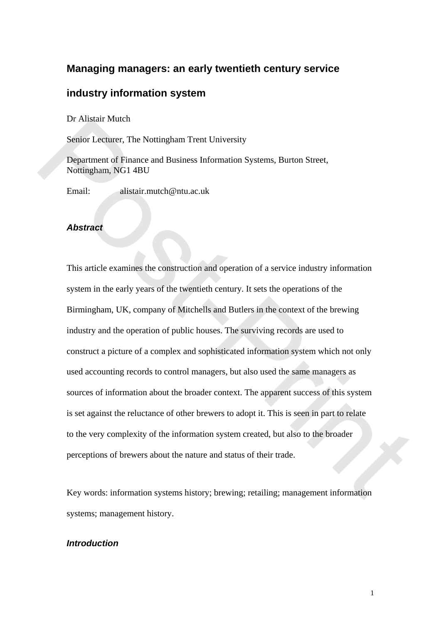# **Managing managers: an early twentieth century service**

# **industry information system**

Dr Alistair Mutch

Senior Lecturer, The Nottingham Trent University

Department of Finance and Business Information Systems, Burton Street, Nottingham, NG1 4BU

Email: alistair.mutch@ntu.ac.uk

# *Abstract*

This article examines the construction and operation of a service industry information system in the early years of the twentieth century. It sets the operations of the Birmingham, UK, company of Mitchells and Butlers in the context of the brewing industry and the operation of public houses. The surviving records are used to construct a picture of a complex and sophisticated information system which not only used accounting records to control managers, but also used the same managers as sources of information about the broader context. The apparent success of this system is set against the reluctance of other brewers to adopt it. This is seen in part to relate to the very complexity of the information system created, but also to the broader perceptions of brewers about the nature and status of their trade. Example Senior Lecturer, The Nottingham Trent University<br>
Department of Triance and Business Information Systems, Burton Street,<br>
Department of Triance and Business Information Systems, Burton Street,<br>
Notifigham. NG1 4BU<br>

Key words: information systems history; brewing; retailing; management information systems; management history.

### *Introduction*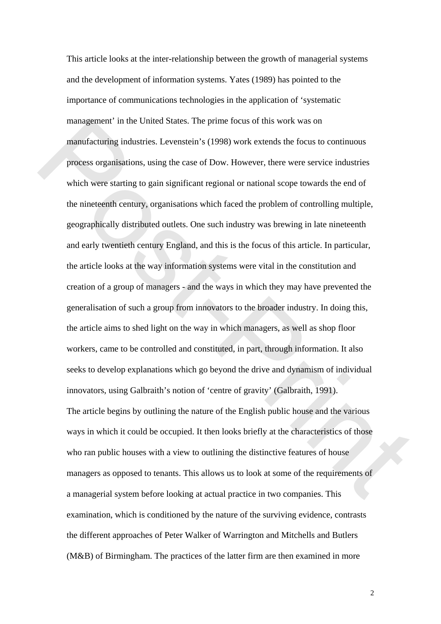This article looks at the inter-relationship between the growth of managerial systems and the development of information systems. Yates (1989) has pointed to the importance of communications technologies in the application of 'systematic management' in the United States. The prime focus of this work was on manufacturing industries. Levenstein's (1998) work extends the focus to continuous process organisations, using the case of Dow. However, there were service industries which were starting to gain significant regional or national scope towards the end of the nineteenth century, organisations which faced the problem of controlling multiple, geographically distributed outlets. One such industry was brewing in late nineteenth and early twentieth century England, and this is the focus of this article. In particular, the article looks at the way information systems were vital in the constitution and creation of a group of managers - and the ways in which they may have prevented the generalisation of such a group from innovators to the broader industry. In doing this, the article aims to shed light on the way in which managers, as well as shop floor workers, came to be controlled and constituted, in part, through information. It also seeks to develop explanations which go beyond the drive and dynamism of individual innovators, using Galbraith's notion of 'centre of gravity' (Galbraith, 1991). The article begins by outlining the nature of the English public house and the various ways in which it could be occupied. It then looks briefly at the characteristics of those who ran public houses with a view to outlining the distinctive features of house managers as opposed to tenants. This allows us to look at some of the requirements of a managerial system before looking at actual practice in two companies. This examination, which is conditioned by the nature of the surviving evidence, contrasts the different approaches of Peter Walker of Warrington and Mitchells and Butlers (M&B) of Birmingham. The practices of the latter firm are then examined in more management' in the United States. The prime focus of this work was on<br>nranufacuring industries. Levenstein's (1998) work extends the focus to continuous<br>process organisations, using the case of Dow. However, there were ser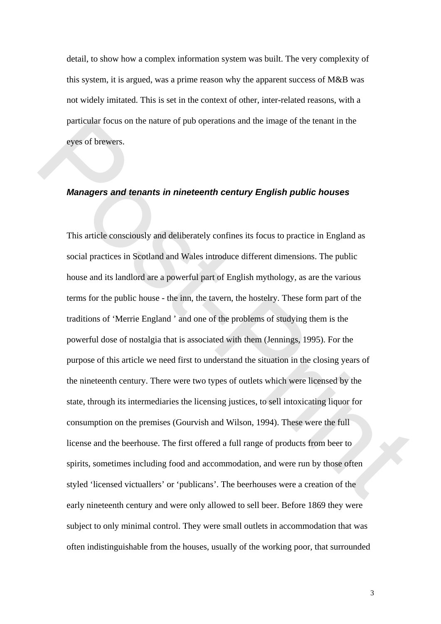detail, to show how a complex information system was built. The very complexity of this system, it is argued, was a prime reason why the apparent success of M&B was not widely imitated. This is set in the context of other, inter-related reasons, with a particular focus on the nature of pub operations and the image of the tenant in the eyes of brewers.

## *Managers and tenants in nineteenth century English public houses*

This article consciously and deliberately confines its focus to practice in England as social practices in Scotland and Wales introduce different dimensions. The public house and its landlord are a powerful part of English mythology, as are the various terms for the public house - the inn, the tavern, the hostelry. These form part of the traditions of 'Merrie England ' and one of the problems of studying them is the powerful dose of nostalgia that is associated with them (Jennings, 1995). For the purpose of this article we need first to understand the situation in the closing years of the nineteenth century. There were two types of outlets which were licensed by the state, through its intermediaries the licensing justices, to sell intoxicating liquor for consumption on the premises (Gourvish and Wilson, 1994). These were the full license and the beerhouse. The first offered a full range of products from beer to spirits, sometimes including food and accommodation, and were run by those often styled 'licensed victuallers' or 'publicans'. The beerhouses were a creation of the early nineteenth century and were only allowed to sell beer. Before 1869 they were subject to only minimal control. They were small outlets in accommodation that was often indistinguishable from the houses, usually of the working poor, that surrounded purticular focus on the nature of pub operations and the image of the tenant in the<br>eyes of brewers.<br>Managers and tenants in nineteenth century English public houses<br>This article consciously and deliberately confines its f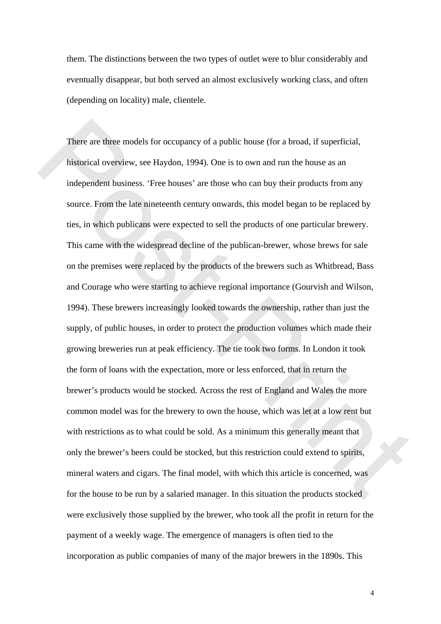them. The distinctions between the two types of outlet were to blur considerably and eventually disappear, but both served an almost exclusively working class, and often (depending on locality) male, clientele.

There are three models for occupancy of a public house (for a broad, if superficial, historical overview, see Haydon, 1994). One is to own and run the house as an independent business. 'Free houses' are those who can buy their products from any source. From the late nineteenth century onwards, this model began to be replaced by ties, in which publicans were expected to sell the products of one particular brewery. This came with the widespread decline of the publican-brewer, whose brews for sale on the premises were replaced by the products of the brewers such as Whitbread, Bass and Courage who were starting to achieve regional importance (Gourvish and Wilson, 1994). These brewers increasingly looked towards the ownership, rather than just the supply, of public houses, in order to protect the production volumes which made their growing breweries run at peak efficiency. The tie took two forms. In London it took the form of loans with the expectation, more or less enforced, that in return the brewer's products would be stocked. Across the rest of England and Wales the more common model was for the brewery to own the house, which was let at a low rent but with restrictions as to what could be sold. As a minimum this generally meant that only the brewer's beers could be stocked, but this restriction could extend to spirits, mineral waters and cigars. The final model, with which this article is concerned, was for the house to be run by a salaried manager. In this situation the products stocked were exclusively those supplied by the brewer, who took all the profit in return for the payment of a weekly wage. The emergence of managers is often tied to the incorporation as public companies of many of the major brewers in the 1890s. This There are three models for occupancy of a public house (for a broad, if superficial,<br>thistorical overview, see Haydon, 1994). One is to own and run the house as an<br>independent business. 'Free houses' are those who can buy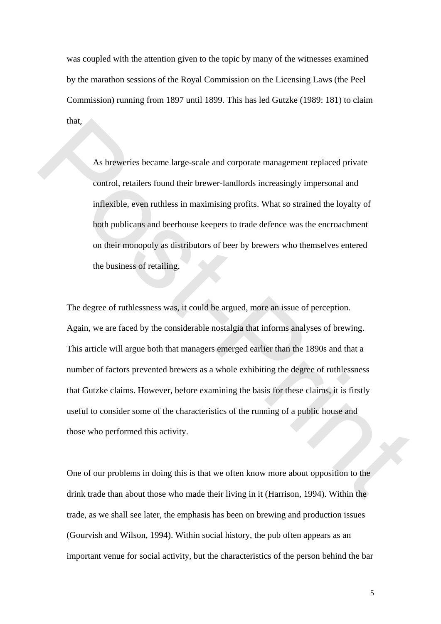was coupled with the attention given to the topic by many of the witnesses examined by the marathon sessions of the Royal Commission on the Licensing Laws (the Peel Commission) running from 1897 until 1899. This has led Gutzke (1989: 181) to claim that,

 As breweries became large-scale and corporate management replaced private control, retailers found their brewer-landlords increasingly impersonal and inflexible, even ruthless in maximising profits. What so strained the loyalty of both publicans and beerhouse keepers to trade defence was the encroachment on their monopoly as distributors of beer by brewers who themselves entered the business of retailing.

The degree of ruthlessness was, it could be argued, more an issue of perception. Again, we are faced by the considerable nostalgia that informs analyses of brewing. This article will argue both that managers emerged earlier than the 1890s and that a number of factors prevented brewers as a whole exhibiting the degree of ruthlessness that Gutzke claims. However, before examining the basis for these claims, it is firstly useful to consider some of the characteristics of the running of a public house and those who performed this activity. That,<br>As breweries became large-scale and corporate management replaced private<br>control, retailers found their brewer-landlords increasingly impersonal and<br>inflexible, even ruthless in maximising profits. What so strained

One of our problems in doing this is that we often know more about opposition to the drink trade than about those who made their living in it (Harrison, 1994). Within the trade, as we shall see later, the emphasis has been on brewing and production issues (Gourvish and Wilson, 1994). Within social history, the pub often appears as an important venue for social activity, but the characteristics of the person behind the bar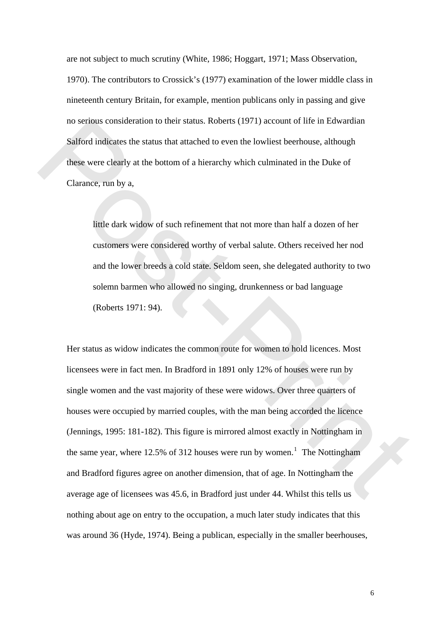are not subject to much scrutiny (White, 1986; Hoggart, 1971; Mass Observation, 1970). The contributors to Crossick's (1977) examination of the lower middle class in nineteenth century Britain, for example, mention publicans only in passing and give no serious consideration to their status. Roberts (1971) account of life in Edwardian Salford indicates the status that attached to even the lowliest beerhouse, although these were clearly at the bottom of a hierarchy which culminated in the Duke of Clarance, run by a,

<span id="page-5-0"></span> little dark widow of such refinement that not more than half a dozen of her customers were considered worthy of verbal salute. Others received her nod and the lower breeds a cold state. Seldom seen, she delegated authority to two solemn barmen who allowed no singing, drunkenness or bad language (Roberts 1971: 94).

Her status as widow indicates the common route for women to hold licences. Most licensees were in fact men. In Bradford in 1891 only 12% of houses were run by single women and the vast majority of these were widows. Over three quarters of houses were occupied by married couples, with the man being accorded the licence (Jennings, 1995: 181-182). This figure is mirrored almost exactly in Nottingham in the same year, where 12.5% of 312 houses were run by women.<sup>1</sup> The Nottingham and Bradford figures agree on another dimension, that of age. In Nottingham the average age of licensees was 45.6, in Bradford just under 44. Whilst this tells us nothing about age on entry to the occupation, a much later study indicates that this was around 36 (Hyde, 1974). Being a publican, especially in the smaller beerhouses, no scrious consideration to their status. Roberts (1971) account of life in Edwardian<br>Salford indicates the status that attached to even the lowliest beerhouse, all<br>hough<br>these were clearly at the bottom of a hierarchy whi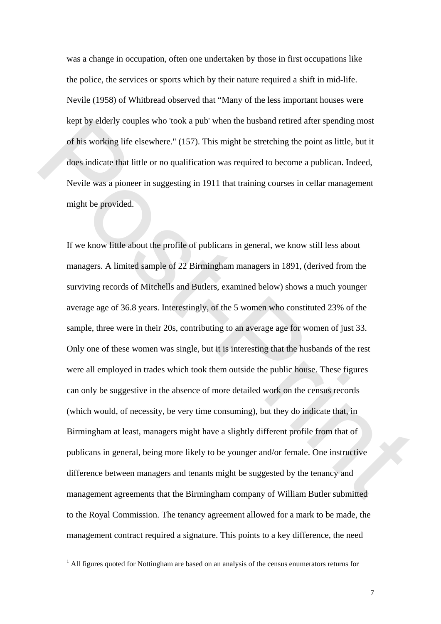was a change in occupation, often one undertaken by those in first occupations like the police, the services or sports which by their nature required a shift in mid-life. Nevile (1958) of Whitbread observed that "Many of the less important houses were kept by elderly couples who 'took a pub' when the husband retired after spending most of his working life elsewhere." (157). This might be stretching the point as little, but it does indicate that little or no qualification was required to become a publican. Indeed, Nevile was a pioneer in suggesting in 1911 that training courses in cellar management might be provided.

If we know little about the profile of publicans in general, we know still less about managers. A limited sample of 22 Birmingham managers in 1891, (derived from the surviving records of Mitchells and Butlers, examined below) shows a much younger average age of 36.8 years. Interestingly, of the 5 women who constituted 23% of the sample, three were in their 20s, contributing to an average age for women of just 33. Only one of these women was single, but it is interesting that the husbands of the rest were all employed in trades which took them outside the public house. These figures can only be suggestive in the absence of more detailed work on the census records (which would, of necessity, be very time consuming), but they do indicate that, in Birmingham at least, managers might have a slightly different profile from that of publicans in general, being more likely to be younger and/or female. One instructive difference between managers and tenants might be suggested by the tenancy and management agreements that the Birmingham company of William Butler submitted to the Royal Commission. The tenancy agreement allowed for a mark to be made, the management contract required a signature. This points to a key difference, the need kept by elderly couples who 'took a pub' when the husband retired after spending most<br>of his working life elsewhere." (157). This might be stretching the point as little, but it<br>does indicate that little or no qualificatio

-

<sup>&</sup>lt;sup>1</sup> All figures quoted for Nottingham are based on an analysis of the census enumerators returns for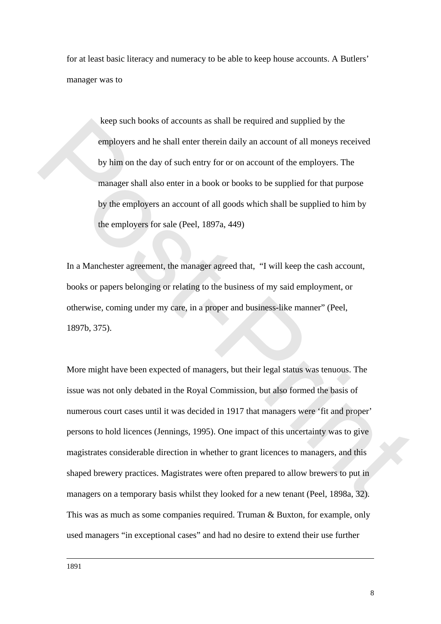for at least basic literacy and numeracy to be able to keep house accounts. A Butlers' manager was to

> keep such books of accounts as shall be required and supplied by the employers and he shall enter therein daily an account of all moneys received by him on the day of such entry for or on account of the employers. The manager shall also enter in a book or books to be supplied for that purpose by the employers an account of all goods which shall be supplied to him by the employers for sale (Peel, 1897a, 449)

In a Manchester agreement, the manager agreed that, "I will keep the cash account, books or papers belonging or relating to the business of my said employment, or otherwise, coming under my care, in a proper and business-like manner" (Peel, 1897b, 375).

More might have been expected of managers, but their legal status was tenuous. The issue was not only debated in the Royal Commission, but also formed the basis of numerous court cases until it was decided in 1917 that managers were 'fit and proper' persons to hold licences (Jennings, 1995). One impact of this uncertainty was to give magistrates considerable direction in whether to grant licences to managers, and this shaped brewery practices. Magistrates were often prepared to allow brewers to put in managers on a temporary basis whilst they looked for a new tenant (Peel, 1898a, 32). This was as much as some companies required. Truman & Buxton, for example, only used managers "in exceptional cases" and had no desire to extend their use further keep such books of accounts as shall be required and supplied by the<br>employers and he shall enter therein daily an account of all moneys received<br>by him on the day of such entry for or on account of the employers. The<br>mana

-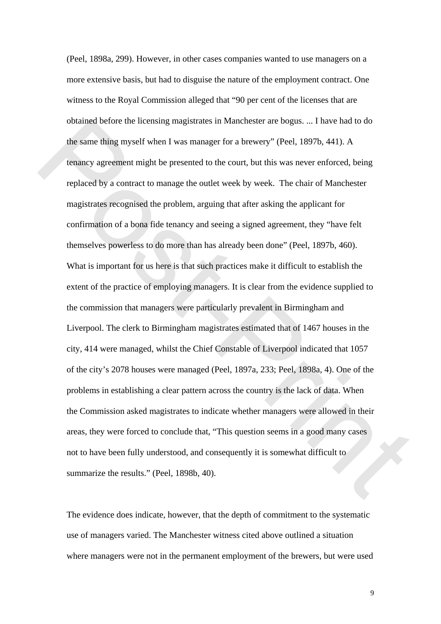(Peel, 1898a, 299). However, in other cases companies wanted to use managers on a more extensive basis, but had to disguise the nature of the employment contract. One witness to the Royal Commission alleged that "90 per cent of the licenses that are obtained before the licensing magistrates in Manchester are bogus. ... I have had to do the same thing myself when I was manager for a brewery" (Peel, 1897b, 441). A tenancy agreement might be presented to the court, but this was never enforced, being replaced by a contract to manage the outlet week by week. The chair of Manchester magistrates recognised the problem, arguing that after asking the applicant for confirmation of a bona fide tenancy and seeing a signed agreement, they "have felt themselves powerless to do more than has already been done" (Peel, 1897b, 460). What is important for us here is that such practices make it difficult to establish the extent of the practice of employing managers. It is clear from the evidence supplied to the commission that managers were particularly prevalent in Birmingham and Liverpool. The clerk to Birmingham magistrates estimated that of 1467 houses in the city, 414 were managed, whilst the Chief Constable of Liverpool indicated that 1057 of the city's 2078 houses were managed (Peel, 1897a, 233; Peel, 1898a, 4). One of the problems in establishing a clear pattern across the country is the lack of data. When the Commission asked magistrates to indicate whether managers were allowed in their areas, they were forced to conclude that, "This question seems in a good many cases not to have been fully understood, and consequently it is somewhat difficult to summarize the results." (Peel, 1898b, 40). obtained before the licensing magistrates in Manchester are bogus.... I have had to do<br>the same thing myself when I was manager for a hewery" (Peel, 1897b, 441). A<br>tentancy agreement might be presented to the court, but th

The evidence does indicate, however, that the depth of commitment to the systematic use of managers varied. The Manchester witness cited above outlined a situation where managers were not in the permanent employment of the brewers, but were used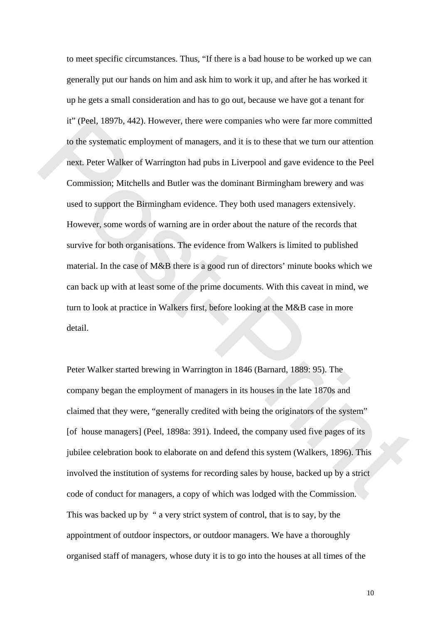to meet specific circumstances. Thus, "If there is a bad house to be worked up we can generally put our hands on him and ask him to work it up, and after he has worked it up he gets a small consideration and has to go out, because we have got a tenant for it" (Peel, 1897b, 442). However, there were companies who were far more committed to the systematic employment of managers, and it is to these that we turn our attention next. Peter Walker of Warrington had pubs in Liverpool and gave evidence to the Peel Commission; Mitchells and Butler was the dominant Birmingham brewery and was used to support the Birmingham evidence. They both used managers extensively. However, some words of warning are in order about the nature of the records that survive for both organisations. The evidence from Walkers is limited to published material. In the case of M&B there is a good run of directors' minute books which we can back up with at least some of the prime documents. With this caveat in mind, we turn to look at practice in Walkers first, before looking at the M&B case in more detail. It" (Peel, 1897b, 442). However, there were companies who were far more committed<br>to the systemaile employment of managers, and it is to these that we turn our attention<br>next. Peter Walker of Warrington had pubs in Liverpo

Peter Walker started brewing in Warrington in 1846 (Barnard, 1889: 95). The company began the employment of managers in its houses in the late 1870s and claimed that they were, "generally credited with being the originators of the system" [of house managers] (Peel, 1898a: 391). Indeed, the company used five pages of its jubilee celebration book to elaborate on and defend this system (Walkers, 1896). This involved the institution of systems for recording sales by house, backed up by a strict code of conduct for managers, a copy of which was lodged with the Commission. This was backed up by " a very strict system of control, that is to say, by the appointment of outdoor inspectors, or outdoor managers. We have a thoroughly organised staff of managers, whose duty it is to go into the houses at all times of the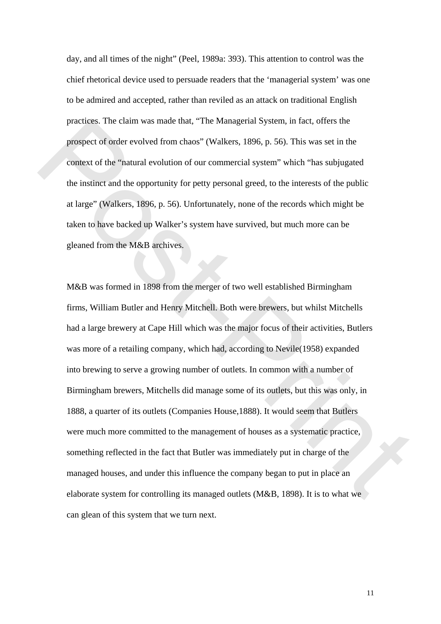day, and all times of the night" (Peel, 1989a: 393). This attention to control was the chief rhetorical device used to persuade readers that the 'managerial system' was one to be admired and accepted, rather than reviled as an attack on traditional English practices. The claim was made that, "The Managerial System, in fact, offers the prospect of order evolved from chaos" (Walkers, 1896, p. 56). This was set in the context of the "natural evolution of our commercial system" which "has subjugated the instinct and the opportunity for petty personal greed, to the interests of the public at large" (Walkers, 1896, p. 56). Unfortunately, none of the records which might be taken to have backed up Walker's system have survived, but much more can be gleaned from the M&B archives.

M&B was formed in 1898 from the merger of two well established Birmingham firms, William Butler and Henry Mitchell. Both were brewers, but whilst Mitchells had a large brewery at Cape Hill which was the major focus of their activities, Butlers was more of a retailing company, which had, according to Nevile(1958) expanded into brewing to serve a growing number of outlets. In common with a number of Birmingham brewers, Mitchells did manage some of its outlets, but this was only, in 1888, a quarter of its outlets (Companies House,1888). It would seem that Butlers were much more committed to the management of houses as a systematic practice, something reflected in the fact that Butler was immediately put in charge of the managed houses, and under this influence the company began to put in place an elaborate system for controlling its managed outlets (M&B, 1898). It is to what we can glean of this system that we turn next. practices. The claim was made that, "The Managerial System, in fact, offers the<br>prospect of order evolved from chaos" (Walkers, 1896, p. 56). This was set in the<br>context of the "natural evolution of our commercial system"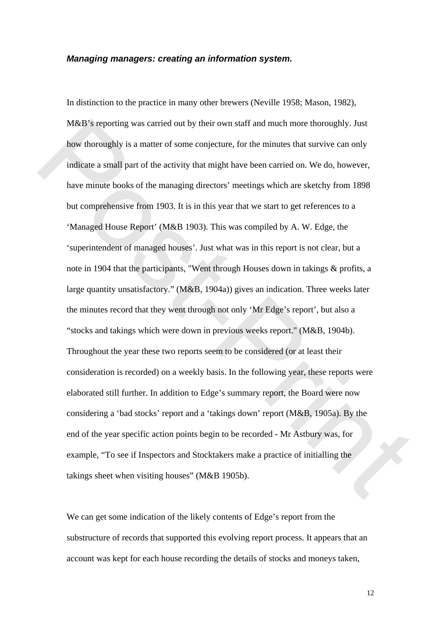#### *Managing managers: creating an information system.*

In distinction to the practice in many other brewers (Neville 1958; Mason, 1982), M&B's reporting was carried out by their own staff and much more thoroughly. Just how thoroughly is a matter of some conjecture, for the minutes that survive can only indicate a small part of the activity that might have been carried on. We do, however, have minute books of the managing directors' meetings which are sketchy from 1898 but comprehensive from 1903. It is in this year that we start to get references to a 'Managed House Report' (M&B 1903). This was compiled by A. W. Edge, the 'superintendent of managed houses'. Just what was in this report is not clear, but a note in 1904 that the participants, "Went through Houses down in takings & profits, a large quantity unsatisfactory." (M&B, 1904a)) gives an indication. Three weeks later the minutes record that they went through not only 'Mr Edge's report', but also a "stocks and takings which were down in previous weeks report." (M&B, 1904b). Throughout the year these two reports seem to be considered (or at least their consideration is recorded) on a weekly basis. In the following year, these reports were elaborated still further. In addition to Edge's summary report, the Board were now considering a 'bad stocks' report and a 'takings down' report (M&B, 1905a). By the end of the year specific action points begin to be recorded - Mr Astbury was, for example, "To see if Inspectors and Stocktakers make a practice of initialling the takings sheet when visiting houses" (M&B 1905b). M&B's reporting was carried out by their own staff and much more thoroughly. Just<br>how thoroughly is a matter of some conjecture, for the minutes that survive can only<br>indicate a small part of the activity that might have

We can get some indication of the likely contents of Edge's report from the substructure of records that supported this evolving report process. It appears that an account was kept for each house recording the details of stocks and moneys taken,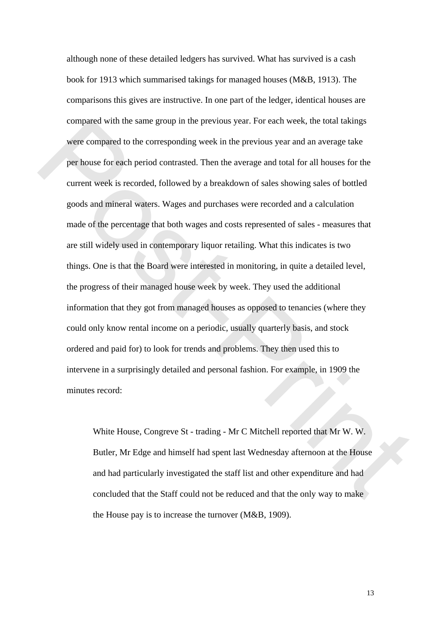although none of these detailed ledgers has survived. What has survived is a cash book for 1913 which summarised takings for managed houses (M&B, 1913). The comparisons this gives are instructive. In one part of the ledger, identical houses are compared with the same group in the previous year. For each week, the total takings were compared to the corresponding week in the previous year and an average take per house for each period contrasted. Then the average and total for all houses for the current week is recorded, followed by a breakdown of sales showing sales of bottled goods and mineral waters. Wages and purchases were recorded and a calculation made of the percentage that both wages and costs represented of sales - measures that are still widely used in contemporary liquor retailing. What this indicates is two things. One is that the Board were interested in monitoring, in quite a detailed level, the progress of their managed house week by week. They used the additional information that they got from managed houses as opposed to tenancies (where they could only know rental income on a periodic, usually quarterly basis, and stock ordered and paid for) to look for trends and problems. They then used this to intervene in a surprisingly detailed and personal fashion. For example, in 1909 the minutes record: compared with the same group in the previous year. For each week, the total takings<br>were compared to the corresponding week in the previous year and an average take<br>per house for each period contrasted. Then the average an

 White House, Congreve St - trading - Mr C Mitchell reported that Mr W. W. Butler, Mr Edge and himself had spent last Wednesday afternoon at the House and had particularly investigated the staff list and other expenditure and had concluded that the Staff could not be reduced and that the only way to make the House pay is to increase the turnover (M&B, 1909).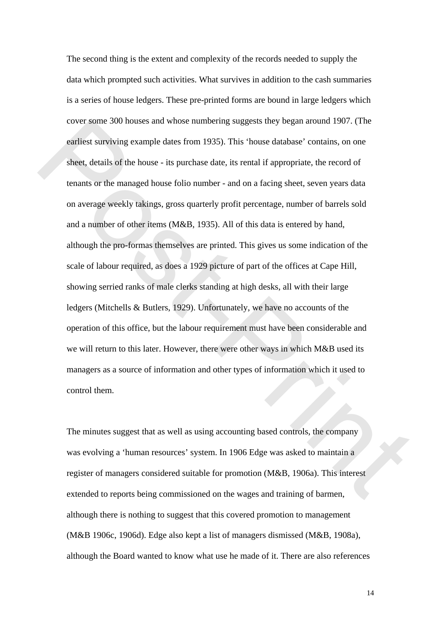The second thing is the extent and complexity of the records needed to supply the data which prompted such activities. What survives in addition to the cash summaries is a series of house ledgers. These pre-printed forms are bound in large ledgers which cover some 300 houses and whose numbering suggests they began around 1907. (The earliest surviving example dates from 1935). This 'house database' contains, on one sheet, details of the house - its purchase date, its rental if appropriate, the record of tenants or the managed house folio number - and on a facing sheet, seven years data on average weekly takings, gross quarterly profit percentage, number of barrels sold and a number of other items (M&B, 1935). All of this data is entered by hand, although the pro-formas themselves are printed. This gives us some indication of the scale of labour required, as does a 1929 picture of part of the offices at Cape Hill, showing serried ranks of male clerks standing at high desks, all with their large ledgers (Mitchells & Butlers, 1929). Unfortunately, we have no accounts of the operation of this office, but the labour requirement must have been considerable and we will return to this later. However, there were other ways in which M&B used its managers as a source of information and other types of information which it used to control them. cover some 300 houses and whose numbering suggests they began around 1907. (The earliest sarviving example dates from 1935). This 'house database' contains, on one sheet, details of the house - its purchase date, its renta

The minutes suggest that as well as using accounting based controls, the company was evolving a 'human resources' system. In 1906 Edge was asked to maintain a register of managers considered suitable for promotion (M&B, 1906a). This interest extended to reports being commissioned on the wages and training of barmen, although there is nothing to suggest that this covered promotion to management (M&B 1906c, 1906d). Edge also kept a list of managers dismissed (M&B, 1908a), although the Board wanted to know what use he made of it. There are also references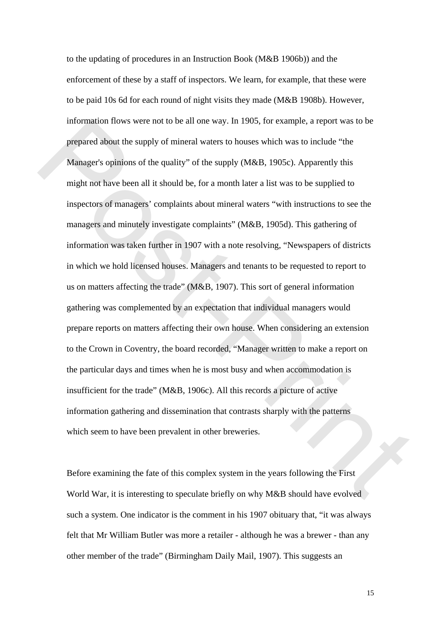to the updating of procedures in an Instruction Book (M&B 1906b)) and the enforcement of these by a staff of inspectors. We learn, for example, that these were to be paid 10s 6d for each round of night visits they made (M&B 1908b). However, information flows were not to be all one way. In 1905, for example, a report was to be prepared about the supply of mineral waters to houses which was to include "the Manager's opinions of the quality" of the supply (M&B, 1905c). Apparently this might not have been all it should be, for a month later a list was to be supplied to inspectors of managers' complaints about mineral waters "with instructions to see the managers and minutely investigate complaints" (M&B, 1905d). This gathering of information was taken further in 1907 with a note resolving, "Newspapers of districts in which we hold licensed houses. Managers and tenants to be requested to report to us on matters affecting the trade" (M&B, 1907). This sort of general information gathering was complemented by an expectation that individual managers would prepare reports on matters affecting their own house. When considering an extension to the Crown in Coventry, the board recorded, "Manager written to make a report on the particular days and times when he is most busy and when accommodation is insufficient for the trade" (M&B, 1906c). All this records a picture of active information gathering and dissemination that contrasts sharply with the patterns which seem to have been prevalent in other breweries. information Hows were not to be all one way. In 1905, for example, a report was to be<br>prepared about the supply of mineral waters to houses which was to include "the<br>Manager's opinions of the quality" of the supply (M&B, 1

Before examining the fate of this complex system in the years following the First World War, it is interesting to speculate briefly on why M&B should have evolved such a system. One indicator is the comment in his 1907 obituary that, "it was always felt that Mr William Butler was more a retailer - although he was a brewer - than any other member of the trade" (Birmingham Daily Mail, 1907). This suggests an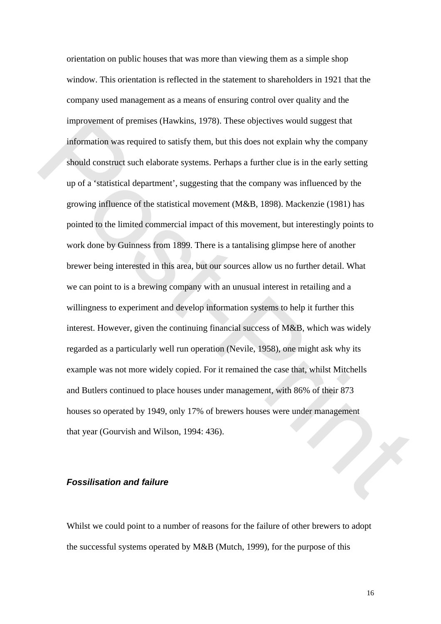orientation on public houses that was more than viewing them as a simple shop window. This orientation is reflected in the statement to shareholders in 1921 that the company used management as a means of ensuring control over quality and the improvement of premises (Hawkins, 1978). These objectives would suggest that information was required to satisfy them, but this does not explain why the company should construct such elaborate systems. Perhaps a further clue is in the early setting up of a 'statistical department', suggesting that the company was influenced by the growing influence of the statistical movement (M&B, 1898). Mackenzie (1981) has pointed to the limited commercial impact of this movement, but interestingly points to work done by Guinness from 1899. There is a tantalising glimpse here of another brewer being interested in this area, but our sources allow us no further detail. What we can point to is a brewing company with an unusual interest in retailing and a willingness to experiment and develop information systems to help it further this interest. However, given the continuing financial success of M&B, which was widely regarded as a particularly well run operation (Nevile, 1958), one might ask why its example was not more widely copied. For it remained the case that, whilst Mitchells and Butlers continued to place houses under management, with 86% of their 873 houses so operated by 1949, only 17% of brewers houses were under management that year (Gourvish and Wilson, 1994: 436). improvement of premises (Hawkins, 1978). These objectives would suggest that<br>information was required to satisfy them, but this does not explain why the company<br>sheuld construct such elaborate systems. Perhaps a farther cl

## *Fossilisation and failure*

Whilst we could point to a number of reasons for the failure of other brewers to adopt the successful systems operated by M&B (Mutch, 1999), for the purpose of this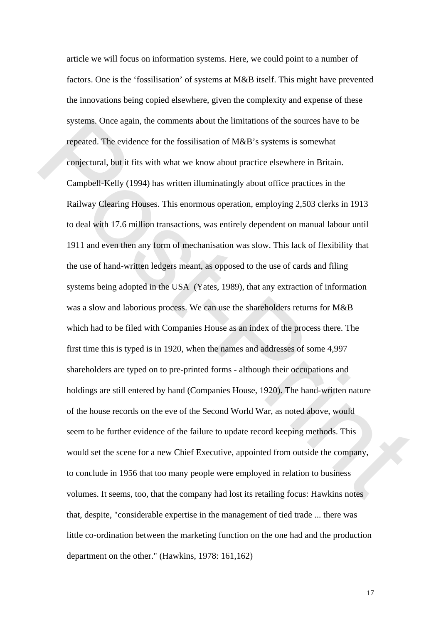article we will focus on information systems. Here, we could point to a number of factors. One is the 'fossilisation' of systems at M&B itself. This might have prevented the innovations being copied elsewhere, given the complexity and expense of these systems. Once again, the comments about the limitations of the sources have to be repeated. The evidence for the fossilisation of M&B's systems is somewhat conjectural, but it fits with what we know about practice elsewhere in Britain. Campbell-Kelly (1994) has written illuminatingly about office practices in the Railway Clearing Houses. This enormous operation, employing 2,503 clerks in 1913 to deal with 17.6 million transactions, was entirely dependent on manual labour until 1911 and even then any form of mechanisation was slow. This lack of flexibility that the use of hand-written ledgers meant, as opposed to the use of cards and filing systems being adopted in the USA (Yates, 1989), that any extraction of information was a slow and laborious process. We can use the shareholders returns for M&B which had to be filed with Companies House as an index of the process there. The first time this is typed is in 1920, when the names and addresses of some 4,997 shareholders are typed on to pre-printed forms - although their occupations and holdings are still entered by hand (Companies House, 1920). The hand-written nature of the house records on the eve of the Second World War, as noted above, would seem to be further evidence of the failure to update record keeping methods. This would set the scene for a new Chief Executive, appointed from outside the company, to conclude in 1956 that too many people were employed in relation to business volumes. It seems, too, that the company had lost its retailing focus: Hawkins notes that, despite, "considerable expertise in the management of tied trade ... there was little co-ordination between the marketing function on the one had and the production department on the other." (Hawkins, 1978: 161,162) systems. Once again, the comments about the limitations of the sources have to be<br>repeated. The evidence for the fossilisation of M&B's systems is somewhat<br>conjectural, but it fits with what we know about practice elsewher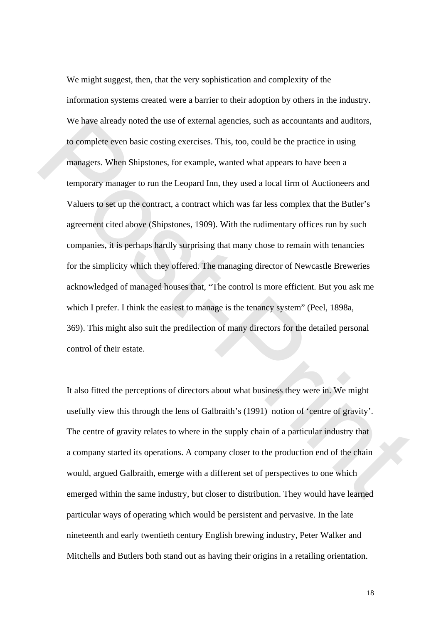We might suggest, then, that the very sophistication and complexity of the information systems created were a barrier to their adoption by others in the industry. We have already noted the use of external agencies, such as accountants and auditors, to complete even basic costing exercises. This, too, could be the practice in using managers. When Shipstones, for example, wanted what appears to have been a temporary manager to run the Leopard Inn, they used a local firm of Auctioneers and Valuers to set up the contract, a contract which was far less complex that the Butler's agreement cited above (Shipstones, 1909). With the rudimentary offices run by such companies, it is perhaps hardly surprising that many chose to remain with tenancies for the simplicity which they offered. The managing director of Newcastle Breweries acknowledged of managed houses that, "The control is more efficient. But you ask me which I prefer. I think the easiest to manage is the tenancy system" (Peel, 1898a, 369). This might also suit the predilection of many directors for the detailed personal control of their estate. We have already noted the use of external agencies, such as accountants and anditors,<br>
i.e complete even hasic costing exercises. This, too, could be the practice in using<br>
managers. When Shipstones, for example, wanted wh

It also fitted the perceptions of directors about what business they were in. We might usefully view this through the lens of Galbraith's (1991) notion of 'centre of gravity'. The centre of gravity relates to where in the supply chain of a particular industry that a company started its operations. A company closer to the production end of the chain would, argued Galbraith, emerge with a different set of perspectives to one which emerged within the same industry, but closer to distribution. They would have learned particular ways of operating which would be persistent and pervasive. In the late nineteenth and early twentieth century English brewing industry, Peter Walker and Mitchells and Butlers both stand out as having their origins in a retailing orientation.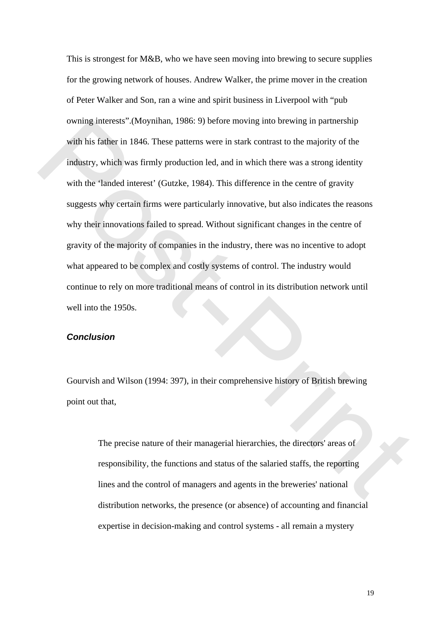This is strongest for M&B, who we have seen moving into brewing to secure supplies for the growing network of houses. Andrew Walker, the prime mover in the creation of Peter Walker and Son, ran a wine and spirit business in Liverpool with "pub owning interests".(Moynihan, 1986: 9) before moving into brewing in partnership with his father in 1846. These patterns were in stark contrast to the majority of the industry, which was firmly production led, and in which there was a strong identity with the 'landed interest' (Gutzke, 1984). This difference in the centre of gravity suggests why certain firms were particularly innovative, but also indicates the reasons why their innovations failed to spread. Without significant changes in the centre of gravity of the majority of companies in the industry, there was no incentive to adopt what appeared to be complex and costly systems of control. The industry would continue to rely on more traditional means of control in its distribution network until well into the 1950s. owning interests".(Moynihan, 1986: 9) before moving into brewing in partnership<br>with his faller in 1846. These patterns were in stark contrast to the majority of the<br>industry, which was firmly production led, and in which

# *Conclusion*

Gourvish and Wilson (1994: 397), in their comprehensive history of British brewing point out that,

> The precise nature of their managerial hierarchies, the directors' areas of responsibility, the functions and status of the salaried staffs, the reporting lines and the control of managers and agents in the breweries' national distribution networks, the presence (or absence) of accounting and financial expertise in decision-making and control systems - all remain a mystery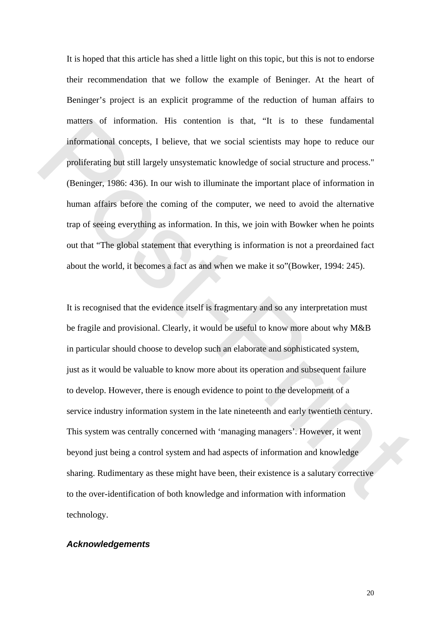It is hoped that this article has shed a little light on this topic, but this is not to endorse their recommendation that we follow the example of Beninger. At the heart of Beninger's project is an explicit programme of the reduction of human affairs to matters of information. His contention is that, "It is to these fundamental informational concepts, I believe, that we social scientists may hope to reduce our proliferating but still largely unsystematic knowledge of social structure and process." (Beninger, 1986: 436). In our wish to illuminate the important place of information in human affairs before the coming of the computer, we need to avoid the alternative trap of seeing everything as information. In this, we join with Bowker when he points out that "The global statement that everything is information is not a preordained fact about the world, it becomes a fact as and when we make it so"(Bowker, 1994: 245).

It is recognised that the evidence itself is fragmentary and so any interpretation must be fragile and provisional. Clearly, it would be useful to know more about why M&B in particular should choose to develop such an elaborate and sophisticated system, just as it would be valuable to know more about its operation and subsequent failure to develop. However, there is enough evidence to point to the development of a service industry information system in the late nineteenth and early twentieth century. This system was centrally concerned with 'managing managers'. However, it went beyond just being a control system and had aspects of information and knowledge sharing. Rudimentary as these might have been, their existence is a salutary corrective to the over-identification of both knowledge and information with information technology. matters of information. His concention is that, "It is to these fundamental<br>informational concepts, I believe, that we social scientists may hope to reduce our<br>proliferating but still largely unsystematic knowledge of soci

### *Acknowledgements*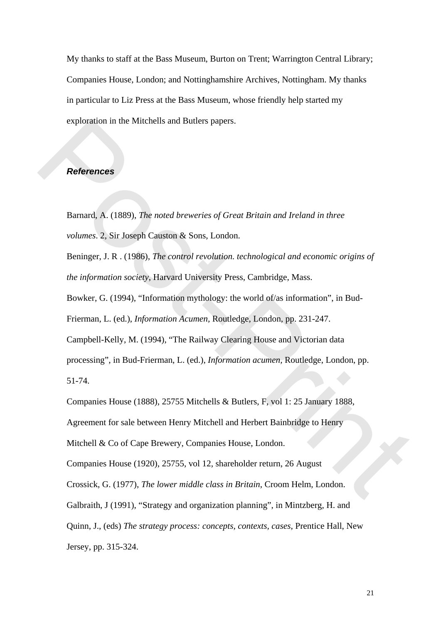My thanks to staff at the Bass Museum, Burton on Trent; Warrington Central Library; Companies House, London; and Nottinghamshire Archives, Nottingham. My thanks in particular to Liz Press at the Bass Museum, whose friendly help started my exploration in the Mitchells and Butlers papers.

# *References*

Barnard, A. (1889), *The noted breweries of Great Britain and Ireland in three volumes*. 2, Sir Joseph Causton & Sons, London.

Beninger, J. R . (1986), *The control revolution. technological and economic origins of the information society*, Harvard University Press, Cambridge, Mass. exploration in the Mitchells and Butlers papers.<br> **References**<br> **References**<br> **Postmaci** A. (1889). *The noted breweries of Great Britain and Ireland in three*<br>
volumes. 2, Sir Joseph Causton & Sons, I ondon.<br>
Beninger, J.

Bowker, G. (1994), "Information mythology: the world of/as information", in Bud-

Frierman, L. (ed.), *Information Acumen,* Routledge, London, pp. 231-247.

Campbell-Kelly, M. (1994), "The Railway Clearing House and Victorian data

processing", in Bud-Frierman, L. (ed.), *Information acumen,* Routledge, London, pp. 51-74.

Companies House (1888), 25755 Mitchells & Butlers, F, vol 1: 25 January 1888,

Agreement for sale between Henry Mitchell and Herbert Bainbridge to Henry

Mitchell & Co of Cape Brewery, Companies House, London.

Companies House (1920), 25755, vol 12, shareholder return, 26 August

Crossick, G. (1977), *The lower middle class in Britain*, Croom Helm, London.

Galbraith, J (1991), "Strategy and organization planning", in Mintzberg, H. and

Quinn, J., (eds) *The strategy process: concepts, contexts, cases*, Prentice Hall, New Jersey, pp. 315-324.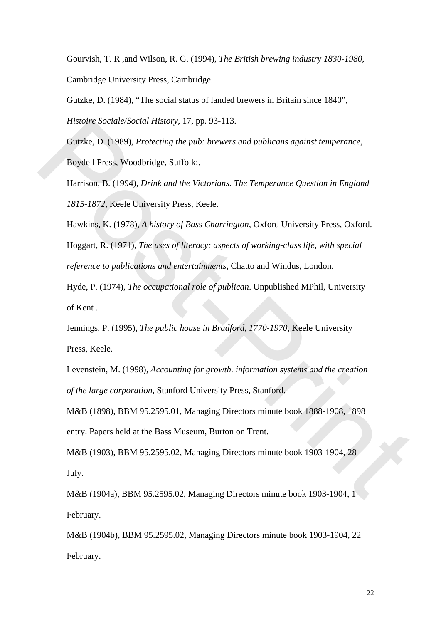Gourvish, T. R ,and Wilson, R. G. (1994), *The British brewing industry 1830-1980*, Cambridge University Press, Cambridge.

Gutzke, D. (1984), "The social status of landed brewers in Britain since 1840", *Histoire Sociale/Social History,* 17, pp. 93-113.

Gutzke, D. (1989), *Protecting the pub: brewers and publicans against temperance*, Boydell Press, Woodbridge, Suffolk:.

Harrison, B. (1994), *Drink and the Victorians. The Temperance Question in England 1815-1872*, Keele University Press, Keele.

Hawkins, K. (1978), *A history of Bass Charrington*, Oxford University Press, Oxford. Hoggart, R. (1971), *The uses of literacy: aspects of working-class life, with special reference to publications and entertainments,* Chatto and Windus, London. Histoire Sociale/Social History, 17, pp. 93-113.<br>
Gaizke, D. (1989), Printecting the pub: brewers and publicates against temperator.<br>
Boydell Press, Woodbridge, Suffolk:<br>
Harrison, B. (1994). Drink and the Victorians. The

Hyde, P. (1974), *The occupational role of publican*. Unpublished MPhil, University of Kent .

Jennings, P. (1995), *The public house in Bradford, 1770-1970*, Keele University Press, Keele.

Levenstein, M. (1998), *Accounting for growth. information systems and the creation of the large corporation*, Stanford University Press, Stanford.

M&B (1898), BBM 95.2595.01, Managing Directors minute book 1888-1908, 1898 entry. Papers held at the Bass Museum, Burton on Trent.

M&B (1903), BBM 95.2595.02, Managing Directors minute book 1903-1904, 28 July.

M&B (1904a), BBM 95.2595.02, Managing Directors minute book 1903-1904, 1 February.

M&B (1904b), BBM 95.2595.02, Managing Directors minute book 1903-1904, 22 February.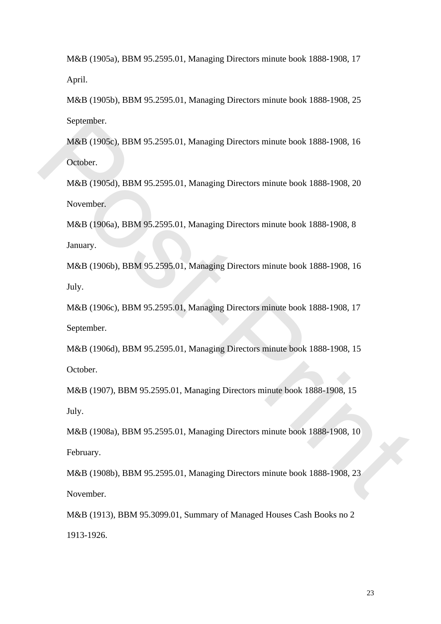M&B (1905a), BBM 95.2595.01, Managing Directors minute book 1888-1908, 17 April.

M&B (1905b), BBM 95.2595.01, Managing Directors minute book 1888-1908, 25 September.

M&B (1905c), BBM 95.2595.01, Managing Directors minute book 1888-1908, 16 October.

M&B (1905d), BBM 95.2595.01, Managing Directors minute book 1888-1908, 20 November.

M&B (1906a), BBM 95.2595.01, Managing Directors minute book 1888-1908, 8 January.

M&B (1906b), BBM 95.2595.01, Managing Directors minute book 1888-1908, 16 July.

M&B (1906c), BBM 95.2595.01, Managing Directors minute book 1888-1908, 17 September.

M&B (1906d), BBM 95.2595.01, Managing Directors minute book 1888-1908, 15 October.

M&B (1907), BBM 95.2595.01, Managing Directors minute book 1888-1908, 15 July.

M&B (1908a), BBM 95.2595.01, Managing Directors minute book 1888-1908, 10 February. September.<br>
M&B (1905e), BBM 95.2595.01, Managing Directors minute book 1888-1908, 16<br>
October.<br>
M&B (1905d), BBM 95.2595.01, Managing Directors minute book 1888-1908, 20<br>
November.<br>
M&B (1906b), BBM 95.2595.01, Managing D

M&B (1908b), BBM 95.2595.01, Managing Directors minute book 1888-1908, 23 November.

M&B (1913), BBM 95.3099.01, Summary of Managed Houses Cash Books no 2 1913-1926.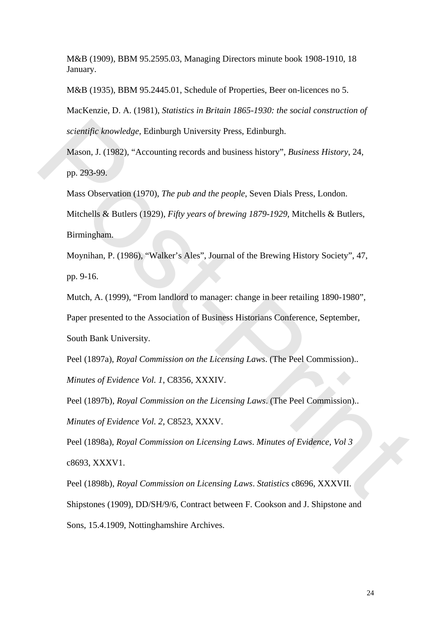M&B (1909), BBM 95.2595.03, Managing Directors minute book 1908-1910, 18 January.

M&B (1935), BBM 95.2445.01, Schedule of Properties, Beer on-licences no 5.

MacKenzie, D. A. (1981), *Statistics in Britain 1865-1930: the social construction of scientific knowledge*, Edinburgh University Press, Edinburgh.

Mason, J. (1982), "Accounting records and business history", *Business History*, 24, pp. 293-99.

Mass Observation (1970), *The pub and the people*, Seven Dials Press, London.

Mitchells & Butlers (1929), *Fifty years of brewing 1879-1929*, Mitchells & Butlers, Birmingham.

Moynihan, P. (1986), "Walker's Ales", Journal of the Brewing History Society", 47, pp. 9-16.

Mutch, A. (1999), "From landlord to manager: change in beer retailing 1890-1980", Paper presented to the Association of Business Historians Conference, September, South Bank University. *scientific knowledge*, Edinburgh University Press, Edinburgh,<br>
Mason, J. (1982), "Accounting records and husiness history", *Business History*, 24,<br>
pp. 293-99.<br>
Mass Observation (1970), *The pub and the people*, Seven Di

Peel (1897a), *Royal Commission on the Licensing Laws*. (The Peel Commission).. *Minutes of Evidence Vol. 1*, C8356, XXXIV.

Peel (1897b), *Royal Commission on the Licensing Laws*. (The Peel Commission).. *Minutes of Evidence Vol. 2*, C8523, XXXV.

Peel (1898a), *Royal Commission on Licensing Laws*. *Minutes of Evidence, Vol 3* c8693, XXXV1.

Peel (1898b), *Royal Commission on Licensing Laws*. *Statistics* c8696, XXXVII. Shipstones (1909), DD/SH/9/6, Contract between F. Cookson and J. Shipstone and Sons, 15.4.1909, Nottinghamshire Archives.